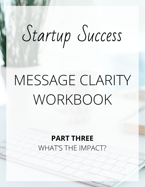# Startup Success

## MESSAGE CLARITY WORKBOOK

#### **PART THREE** WHAT'S THE IMPACT?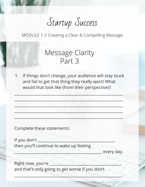### Startup Success

MODULE 1 // Creating a Clear & Compelling Message

#### Message Clarity Part 3

1. If things don't change, your audience will stay stuck and fail to get that thing they really want! What would that look like (from their perspective)?

 $\frac{1}{2}$  ,  $\frac{1}{2}$  ,  $\frac{1}{2}$  ,  $\frac{1}{2}$  ,  $\frac{1}{2}$  ,  $\frac{1}{2}$  ,  $\frac{1}{2}$  ,  $\frac{1}{2}$  ,  $\frac{1}{2}$  ,  $\frac{1}{2}$  ,  $\frac{1}{2}$  ,  $\frac{1}{2}$  ,  $\frac{1}{2}$  ,  $\frac{1}{2}$  ,  $\frac{1}{2}$  ,  $\frac{1}{2}$  ,  $\frac{1}{2}$  ,  $\frac{1}{2}$  ,  $\frac{1$ 

 $X_1 = \{x_1, x_2, \ldots, x_n\}$  ,  $X_1 = \{x_1, x_2, \ldots, x_n\}$  ,  $X_2 = \{x_1, x_2, \ldots, x_n\}$  ,  $X_3 = \{x_1, x_2, \ldots, x_n\}$ 

\_\_\_\_\_\_\_\_\_\_\_\_\_\_\_\_\_\_\_\_\_\_\_\_\_\_\_\_\_\_\_\_\_\_\_\_\_\_\_\_\_\_\_\_\_\_\_\_\_\_\_\_\_\_\_\_\_

\_\_\_\_\_\_\_\_\_\_\_\_\_\_\_\_\_\_\_\_\_\_\_\_\_\_\_\_\_\_\_\_\_\_\_\_\_\_\_\_\_\_\_\_\_\_\_\_\_\_\_\_\_\_\_\_\_

 $\frac{1}{2}$  ,  $\frac{1}{2}$  ,  $\frac{1}{2}$  ,  $\frac{1}{2}$  ,  $\frac{1}{2}$  ,  $\frac{1}{2}$  ,  $\frac{1}{2}$  ,  $\frac{1}{2}$  ,  $\frac{1}{2}$  ,  $\frac{1}{2}$  ,  $\frac{1}{2}$  ,  $\frac{1}{2}$  ,  $\frac{1}{2}$  ,  $\frac{1}{2}$  ,  $\frac{1}{2}$  ,  $\frac{1}{2}$  ,  $\frac{1}{2}$  ,  $\frac{1}{2}$  ,  $\frac{1$ 

Complete these statements:

If you don't then you'll continue to wake up feeling

every day.

Right now, you're and that's only going to get worse if you don't

\_\_\_\_\_\_\_\_\_\_\_\_\_\_\_\_\_\_\_\_\_\_\_\_\_\_\_\_\_\_\_\_\_\_\_\_\_\_\_\_\_\_\_\_\_\_\_\_\_\_\_\_\_\_\_\_.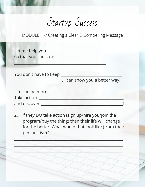Startup Success

MODULE 1 // Creating a Clear & Compelling Message

| so that you can stop _____     |
|--------------------------------|
|                                |
| You don't have to keep         |
| . I can show you a better way! |
|                                |
|                                |
|                                |
|                                |

If they DO take action (sign up/hire you/join the  $2.$ program/buy the thing) then their life will change for the better! What would that look like (from their perspective)?